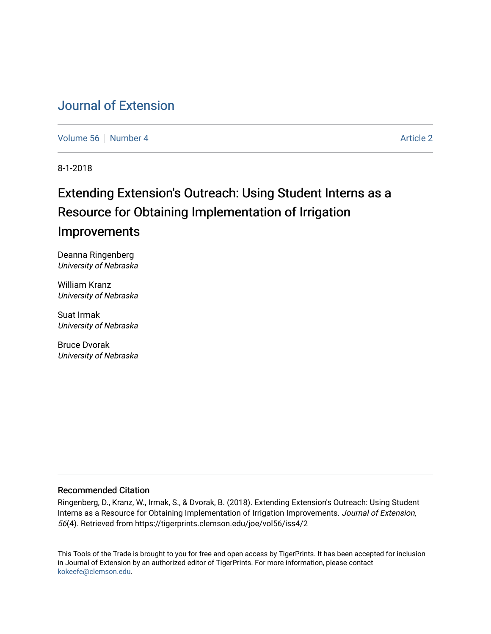## [Journal of Extension](https://tigerprints.clemson.edu/joe)

[Volume 56](https://tigerprints.clemson.edu/joe/vol56) [Number 4](https://tigerprints.clemson.edu/joe/vol56/iss4) Article 2

8-1-2018

# Extending Extension's Outreach: Using Student Interns as a Resource for Obtaining Implementation of Irrigation Improvements

Deanna Ringenberg University of Nebraska

William Kranz University of Nebraska

Suat Irmak University of Nebraska

Bruce Dvorak University of Nebraska

#### Recommended Citation

Ringenberg, D., Kranz, W., Irmak, S., & Dvorak, B. (2018). Extending Extension's Outreach: Using Student Interns as a Resource for Obtaining Implementation of Irrigation Improvements. Journal of Extension, 56(4). Retrieved from https://tigerprints.clemson.edu/joe/vol56/iss4/2

This Tools of the Trade is brought to you for free and open access by TigerPrints. It has been accepted for inclusion in Journal of Extension by an authorized editor of TigerPrints. For more information, please contact [kokeefe@clemson.edu](mailto:kokeefe@clemson.edu).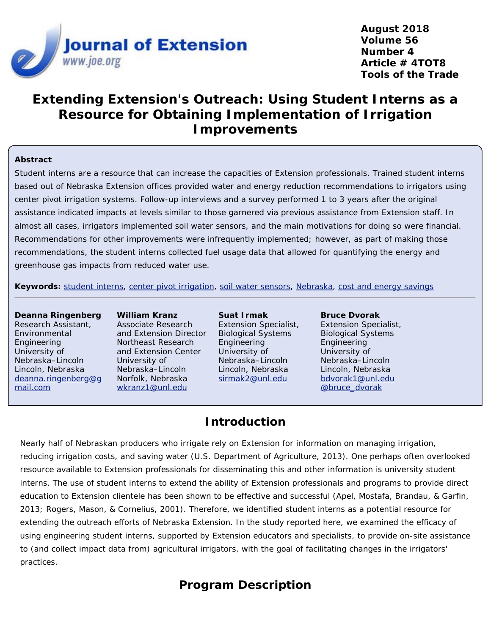

**August 2018 Volume 56 Number 4 Article # 4TOT8 Tools of the Trade**

## **Extending Extension's Outreach: Using Student Interns as a Resource for Obtaining Implementation of Irrigation Improvements**

#### **Abstract**

Student interns are a resource that can increase the capacities of Extension professionals. Trained student interns based out of Nebraska Extension offices provided water and energy reduction recommendations to irrigators using center pivot irrigation systems. Follow-up interviews and a survey performed 1 to 3 years after the original assistance indicated impacts at levels similar to those garnered via previous assistance from Extension staff. In almost all cases, irrigators implemented soil water sensors, and the main motivations for doing so were financial. Recommendations for other improvements were infrequently implemented; however, as part of making those recommendations, the student interns collected fuel usage data that allowed for quantifying the energy and greenhouse gas impacts from reduced water use.

**Keywords:** [student interns](https://joe.org/search-results.php?cx=010816128502272931564%3Aopgn_voyplk&cof=FORID%3A10&ie=UTF-8&q=student interns&sa=Search+JOE#1039\), [center pivot irrigation](https://joe.org/search-results.php?cx=010816128502272931564%3Aopgn_voyplk&cof=FORID%3A10&ie=UTF-8&q=center pivot irrigation&sa=Search+JOE#1039\), [soil water sensors](https://joe.org/search-results.php?cx=010816128502272931564%3Aopgn_voyplk&cof=FORID%3A10&ie=UTF-8&q=soil water sensors&sa=Search+JOE#1039\), [Nebraska](https://joe.org/search-results.php?cx=010816128502272931564%3Aopgn_voyplk&cof=FORID%3A10&ie=UTF-8&q=Nebraska&sa=Search+JOE#1039\), [cost and energy savings](https://joe.org/search-results.php?cx=010816128502272931564%3Aopgn_voyplk&cof=FORID%3A10&ie=UTF-8&q=cost and energy savings&sa=Search+JOE#1039)

#### **Deanna Ringenberg** Research Assistant, Environmental Engineering University of Nebraska–Lincoln Lincoln, Nebraska [deanna.ringenberg@g](mailto:deanna.ringenberg@gmail.com) [mail.com](mailto:deanna.ringenberg@gmail.com)

**William Kranz** Associate Research and Extension Director Northeast Research and Extension Center University of Nebraska–Lincoln Norfolk, Nebraska [wkranz1@unl.edu](mailto:wkranz1@unl.edu)

**Suat Irmak** Extension Specialist, Biological Systems Engineering University of Nebraska–Lincoln Lincoln, Nebraska [sirmak2@unl.edu](mailto:sirmak2@unl.edu)

**Bruce Dvorak** Extension Specialist, Biological Systems Engineering University of Nebraska–Lincoln Lincoln, Nebraska [bdvorak1@unl.edu](mailto:bdvorak1@unl.edu) [@bruce\\_dvorak](https://twitter.com/bruce_dvorak)

#### **Introduction**

Nearly half of Nebraskan producers who irrigate rely on Extension for information on managing irrigation, reducing irrigation costs, and saving water (U.S. Department of Agriculture, 2013). One perhaps often overlooked resource available to Extension professionals for disseminating this and other information is university student interns. The use of student interns to extend the ability of Extension professionals and programs to provide direct education to Extension clientele has been shown to be effective and successful (Apel, Mostafa, Brandau, & Garfin, 2013; Rogers, Mason, & Cornelius, 2001). Therefore, we identified student interns as a potential resource for extending the outreach efforts of Nebraska Extension. In the study reported here, we examined the efficacy of using engineering student interns, supported by Extension educators and specialists, to provide on-site assistance to (and collect impact data from) agricultural irrigators, with the goal of facilitating changes in the irrigators' practices.

## **Program Description**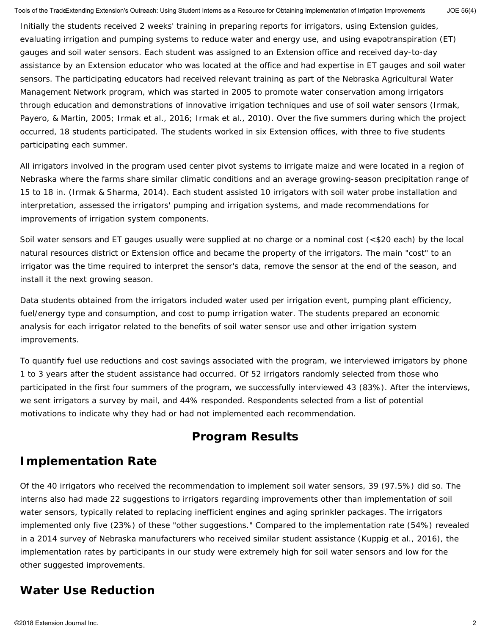Initially the students received 2 weeks' training in preparing reports for irrigators, using Extension guides, evaluating irrigation and pumping systems to reduce water and energy use, and using evapotranspiration (ET) gauges and soil water sensors. Each student was assigned to an Extension office and received day-to-day assistance by an Extension educator who was located at the office and had expertise in ET gauges and soil water sensors. The participating educators had received relevant training as part of the Nebraska Agricultural Water Management Network program, which was started in 2005 to promote water conservation among irrigators through education and demonstrations of innovative irrigation techniques and use of soil water sensors (Irmak, Payero, & Martin, 2005; Irmak et al., 2016; Irmak et al., 2010). Over the five summers during which the project occurred, 18 students participated. The students worked in six Extension offices, with three to five students participating each summer.

All irrigators involved in the program used center pivot systems to irrigate maize and were located in a region of Nebraska where the farms share similar climatic conditions and an average growing-season precipitation range of 15 to 18 in. (Irmak & Sharma, 2014). Each student assisted 10 irrigators with soil water probe installation and interpretation, assessed the irrigators' pumping and irrigation systems, and made recommendations for improvements of irrigation system components.

Soil water sensors and ET gauges usually were supplied at no charge or a nominal cost (<\$20 each) by the local natural resources district or Extension office and became the property of the irrigators. The main "cost" to an irrigator was the time required to interpret the sensor's data, remove the sensor at the end of the season, and install it the next growing season.

Data students obtained from the irrigators included water used per irrigation event, pumping plant efficiency, fuel/energy type and consumption, and cost to pump irrigation water. The students prepared an economic analysis for each irrigator related to the benefits of soil water sensor use and other irrigation system improvements.

To quantify fuel use reductions and cost savings associated with the program, we interviewed irrigators by phone 1 to 3 years after the student assistance had occurred. Of 52 irrigators randomly selected from those who participated in the first four summers of the program, we successfully interviewed 43 (83%). After the interviews, we sent irrigators a survey by mail, and 44% responded. Respondents selected from a list of potential motivations to indicate why they had or had not implemented each recommendation.

### **Program Results**

### **Implementation Rate**

Of the 40 irrigators who received the recommendation to implement soil water sensors, 39 (97.5%) did so. The interns also had made 22 suggestions to irrigators regarding improvements other than implementation of soil water sensors, typically related to replacing inefficient engines and aging sprinkler packages. The irrigators implemented only five (23%) of these "other suggestions." Compared to the implementation rate (54%) revealed in a 2014 survey of Nebraska manufacturers who received similar student assistance (Kuppig et al., 2016), the implementation rates by participants in our study were extremely high for soil water sensors and low for the other suggested improvements.

### **Water Use Reduction**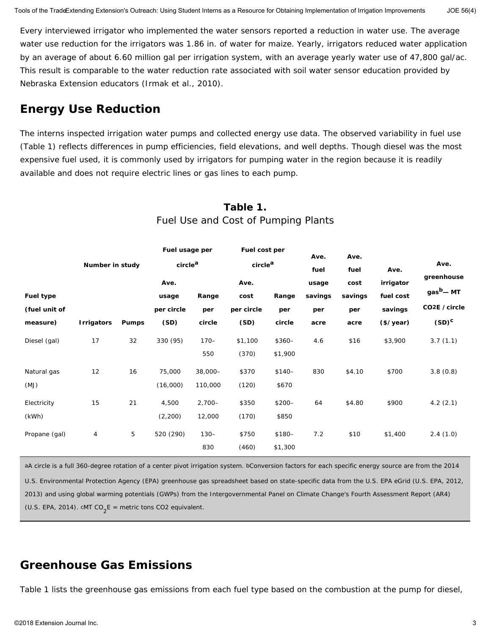Every interviewed irrigator who implemented the water sensors reported a reduction in water use. The average water use reduction for the irrigators was 1.86 in. of water for maize. Yearly, irrigators reduced water application by an average of about 6.60 million gal per irrigation system, with an average yearly water use of 47,800 gal/ac. This result is comparable to the water reduction rate associated with soil water sensor education provided by Nebraska Extension educators (Irmak et al., 2010).

### **Energy Use Reduction**

The interns inspected irrigation water pumps and collected energy use data. The observed variability in fuel use (Table 1) reflects differences in pump efficiencies, field elevations, and well depths. Though diesel was the most expensive fuel used, it is commonly used by irrigators for pumping water in the region because it is readily available and does not require electric lines or gas lines to each pump.

|                  | Number in study |              | Fuel usage per<br>circle <sup>a</sup> |           | Fuel cost per<br>circle <sup>a</sup> |         | Ave.    | Ave.<br>fuel | Ave.      | Ave.                       |
|------------------|-----------------|--------------|---------------------------------------|-----------|--------------------------------------|---------|---------|--------------|-----------|----------------------------|
|                  |                 |              |                                       |           |                                      |         | fuel    |              |           |                            |
|                  |                 |              | Ave.                                  |           | Ave.                                 |         | usage   | cost         | irrigator | greenhouse                 |
| <b>Fuel type</b> |                 |              | usage                                 | Range     | cost                                 | Range   | savings | savings      | fuel cost | $gasb - MT$                |
| (fuel unit of    |                 |              | per circle                            | per       | per circle                           | per     | per     | per          | savings   | CO <sub>2</sub> E / circle |
| measure)         | Irrigators      | <b>Pumps</b> | (SD)                                  | circle    | (SD)                                 | circle  | acre    | acre         | (\$/year) | $(SD)^C$                   |
| Diesel (gal)     | 17              | 32           | 330 (95)                              | $170 -$   | \$1,100                              | $$360-$ | 4.6     | \$16         | \$3,900   | 3.7(1.1)                   |
|                  |                 |              |                                       | 550       | (370)                                | \$1,900 |         |              |           |                            |
| Natural gas      | 12              | 16           | 75,000                                | $38,000-$ | \$370                                | $$140-$ | 830     | \$4.10       | \$700     | 3.8(0.8)                   |
| (MJ)             |                 |              | (16,000)                              | 110,000   | (120)                                | \$670   |         |              |           |                            |
| Electricity      | 15              | 21           | 4,500                                 | $2,700-$  | \$350                                | $$200-$ | 64      | \$4.80       | \$900     | 4.2(2.1)                   |
| (kWh)            |                 |              | (2,200)                               | 12,000    | (170)                                | \$850   |         |              |           |                            |
| Propane (gal)    | 4               | 5            | 520 (290)                             | $130 -$   | \$750                                | $$180-$ | 7.2     | \$10         | \$1,400   | 2.4(1.0)                   |
|                  |                 |              |                                       | 830       | (460)                                | \$1,300 |         |              |           |                            |

#### **Table 1.** Fuel Use and Cost of Pumping Plants

aA circle is a full 360-degree rotation of a center pivot irrigation system. bConversion factors for each specific energy source are from the 2014 U.S. Environmental Protection Agency (EPA) greenhouse gas spreadsheet based on state-specific data from the U.S. EPA eGrid (U.S. EPA, 2012, 2013) and using global warming potentials (GWPs) from the Intergovernmental Panel on Climate Change's Fourth Assessment Report (AR4) (U.S. EPA, 2014).  $CMT CO<sub>2</sub>E$  = metric tons CO2 equivalent.

### **Greenhouse Gas Emissions**

Table 1 lists the greenhouse gas emissions from each fuel type based on the combustion at the pump for diesel,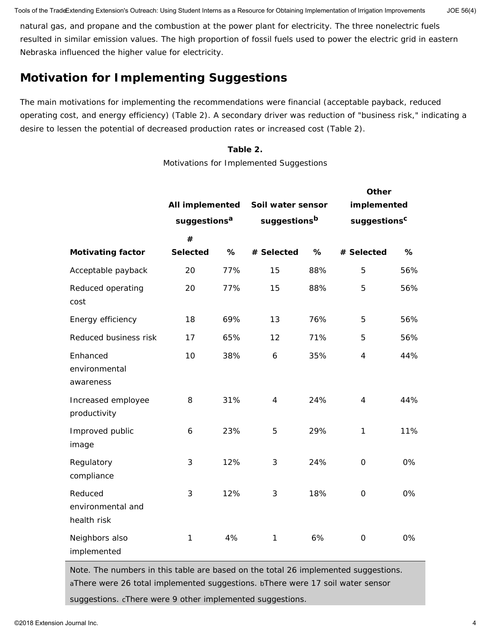Tools of the TradeExtending Extension's Outreach: Using Student Interns as a Resource for Obtaining Implementation of Irrigation Improvements JOE 56(4)

natural gas, and propane and the combustion at the power plant for electricity. The three nonelectric fuels resulted in similar emission values. The high proportion of fossil fuels used to power the electric grid in eastern Nebraska influenced the higher value for electricity.

## **Motivation for Implementing Suggestions**

The main motivations for implementing the recommendations were financial (acceptable payback, reduced operating cost, and energy efficiency) (Table 2). A secondary driver was reduction of "business risk," indicating a desire to lessen the potential of decreased production rates or increased cost (Table 2).

#### **Table 2.**

Motivations for Implemented Suggestions

|                                             | <b>All implemented</b><br>suggestions <sup>a</sup> |     | Soil water sensor |     | Other<br>implemented<br>suggestions <sup>c</sup> |     |  |
|---------------------------------------------|----------------------------------------------------|-----|-------------------|-----|--------------------------------------------------|-----|--|
|                                             |                                                    |     | suggestionsb      |     |                                                  |     |  |
|                                             | #                                                  |     |                   |     |                                                  |     |  |
| <b>Motivating factor</b>                    | <b>Selected</b>                                    | %   | # Selected        | %   | # Selected                                       | %   |  |
| Acceptable payback                          | 20                                                 | 77% | 15                | 88% | 5                                                | 56% |  |
| Reduced operating<br>cost                   | 20                                                 | 77% | 15                | 88% | 5                                                | 56% |  |
| Energy efficiency                           | 18                                                 | 69% | 13                | 76% | 5                                                | 56% |  |
| Reduced business risk                       | 17                                                 | 65% | 12                | 71% | 5                                                | 56% |  |
| Enhanced<br>environmental<br>awareness      | 10                                                 | 38% | 6                 | 35% | $\overline{4}$                                   | 44% |  |
| Increased employee<br>productivity          | 8                                                  | 31% | $\overline{4}$    | 24% | $\overline{4}$                                   | 44% |  |
| Improved public<br>image                    | 6                                                  | 23% | 5                 | 29% | 1                                                | 11% |  |
| Regulatory<br>compliance                    | 3                                                  | 12% | 3                 | 24% | $\overline{O}$                                   | 0%  |  |
| Reduced<br>environmental and<br>health risk | 3                                                  | 12% | 3                 | 18% | $\mathbf 0$                                      | 0%  |  |
| Neighbors also<br>implemented               | 1                                                  | 4%  | 1                 | 6%  | $\mathbf 0$                                      | 0%  |  |

*Note.* The numbers in this table are based on the total 26 implemented suggestions. aThere were 26 total implemented suggestions. bThere were 17 soil water sensor suggestions. cThere were 9 other implemented suggestions.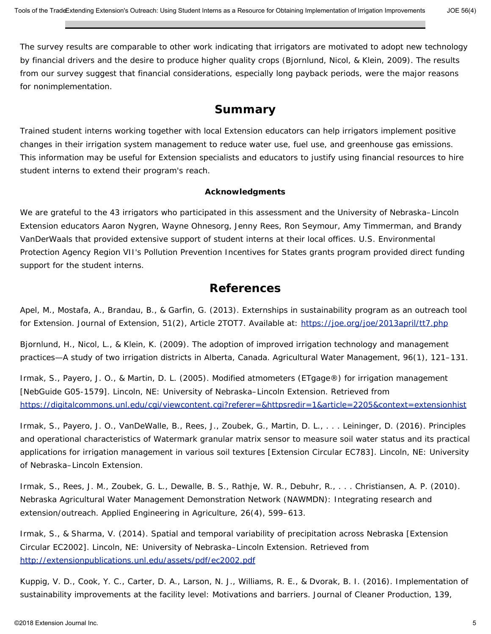The survey results are comparable to other work indicating that irrigators are motivated to adopt new technology by financial drivers and the desire to produce higher quality crops (Bjornlund, Nicol, & Klein, 2009). The results from our survey suggest that financial considerations, especially long payback periods, were the major reasons for nonimplementation.

#### **Summary**

Trained student interns working together with local Extension educators can help irrigators implement positive changes in their irrigation system management to reduce water use, fuel use, and greenhouse gas emissions. This information may be useful for Extension specialists and educators to justify using financial resources to hire student interns to extend their program's reach.

#### **Acknowledgments**

We are grateful to the 43 irrigators who participated in this assessment and the University of Nebraska–Lincoln Extension educators Aaron Nygren, Wayne Ohnesorg, Jenny Rees, Ron Seymour, Amy Timmerman, and Brandy VanDerWaals that provided extensive support of student interns at their local offices. U.S. Environmental Protection Agency Region VII's Pollution Prevention Incentives for States grants program provided direct funding support for the student interns.

#### **References**

Apel, M., Mostafa, A., Brandau, B., & Garfin, G. (2013). Externships in sustainability program as an outreach tool for Extension. *Journal of Extension*, *51*(2), Article 2TOT7. Available at:<https://joe.org/joe/2013april/tt7.php>

Bjornlund, H., Nicol, L., & Klein, K. (2009). The adoption of improved irrigation technology and management practices—A study of two irrigation districts in Alberta, Canada. *Agricultural Water Management*, *96*(1), 121–131.

Irmak, S., Payero, J. O., & Martin, D. L. (2005). Modified atmometers (ETgage®) for irrigation management [NebGuide G05-1579]. Lincoln, NE: University of Nebraska–Lincoln Extension. Retrieved from <https://digitalcommons.unl.edu/cgi/viewcontent.cgi?referer=&httpsredir=1&article=2205&context=extensionhist>

Irmak, S., Payero, J. O., VanDeWalle, B., Rees, J., Zoubek, G., Martin, D. L., . . . Leininger, D. (2016). Principles and operational characteristics of Watermark granular matrix sensor to measure soil water status and its practical applications for irrigation management in various soil textures [Extension Circular EC783]. Lincoln, NE: University of Nebraska–Lincoln Extension.

Irmak, S., Rees, J. M., Zoubek, G. L., Dewalle, B. S., Rathje, W. R., Debuhr, R., . . . Christiansen, A. P. (2010). Nebraska Agricultural Water Management Demonstration Network (NAWMDN): Integrating research and extension/outreach. *Applied Engineering in Agriculture*, *26*(4), 599–613.

Irmak, S., & Sharma, V. (2014). Spatial and temporal variability of precipitation across Nebraska [Extension Circular EC2002]. Lincoln, NE: University of Nebraska–Lincoln Extension. Retrieved from <http://extensionpublications.unl.edu/assets/pdf/ec2002.pdf>

Kuppig, V. D., Cook, Y. C., Carter, D. A., Larson, N. J., Williams, R. E., & Dvorak, B. I. (2016). Implementation of sustainability improvements at the facility level: Motivations and barriers. *Journal of Cleaner Production*, *139*,